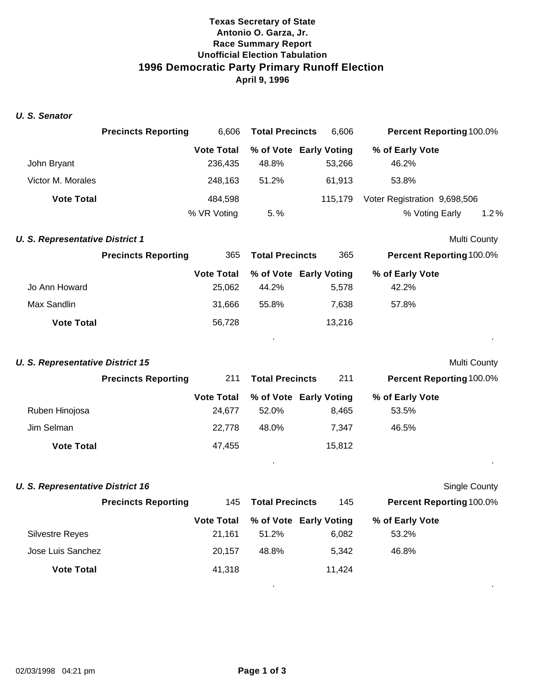# **Texas Secretary of State Antonio O. Garza, Jr. Race Summary Report Unofficial Election Tabulation 1996 Democratic Party Primary Runoff Election April 9, 1996**

#### *U. S. Senator*

|                   | <b>Precincts Reporting</b> | 6.606             | <b>Total Precincts</b> | 6,606                  | <b>Percent Reporting 100.0%</b> |  |
|-------------------|----------------------------|-------------------|------------------------|------------------------|---------------------------------|--|
|                   |                            | <b>Vote Total</b> |                        | % of Vote Early Voting | % of Early Vote                 |  |
| John Bryant       |                            | 236.435           | 48.8%                  | 53.266                 | 46.2%                           |  |
| Victor M. Morales |                            | 248.163           | 51.2%                  | 61.913                 | 53.8%                           |  |
| <b>Vote Total</b> |                            | 484.598           |                        | 115.179                | Voter Registration 9,698,506    |  |
|                   |                            | % VR Voting       | $5. \%$                |                        | 1.2%<br>% Voting Early          |  |

#### **U. S. Representative District 1** Multi County

|                   | <b>Precincts Reporting</b> | <b>Total Precincts</b><br>365 |       | 365                    | <b>Percent Reporting 100.0%</b> |  |
|-------------------|----------------------------|-------------------------------|-------|------------------------|---------------------------------|--|
|                   |                            | <b>Vote Total</b>             |       | % of Vote Early Voting | % of Early Vote                 |  |
| Jo Ann Howard     |                            | 25.062                        | 44.2% | 5.578                  | 42.2%                           |  |
| Max Sandlin       |                            | 31.666                        | 55.8% | 7.638                  | 57.8%                           |  |
| <b>Vote Total</b> |                            | 56.728                        |       | 13.216                 |                                 |  |

. .

. .

. .

#### **U. S. Representative District 15** Multi County

|                   | <b>Precincts Reporting</b> | 211               | <b>Total Precincts</b> | 211                    | <b>Percent Reporting 100.0%</b> |  |
|-------------------|----------------------------|-------------------|------------------------|------------------------|---------------------------------|--|
|                   |                            | <b>Vote Total</b> |                        | % of Vote Early Voting | % of Early Vote                 |  |
| Ruben Hinojosa    |                            | 24.677            | 52.0%                  | 8.465                  | 53.5%                           |  |
| Jim Selman        |                            | 22.778            | 48.0%                  | 7.347                  | 46.5%                           |  |
| <b>Vote Total</b> |                            | 47,455            |                        | 15,812                 |                                 |  |

### **U. S. Representative District 16** Single County

|                        | <b>Precincts Reporting</b> | 145               | <b>Total Precincts</b> | 145                    | <b>Percent Reporting 100.0%</b> |
|------------------------|----------------------------|-------------------|------------------------|------------------------|---------------------------------|
|                        |                            | <b>Vote Total</b> |                        | % of Vote Early Voting | % of Early Vote                 |
| <b>Silvestre Reyes</b> |                            | 21.161            | 51.2%                  | 6,082                  | 53.2%                           |
| Jose Luis Sanchez      |                            | 20.157            | 48.8%                  | 5.342                  | 46.8%                           |
| <b>Vote Total</b>      |                            | 41,318            |                        | 11.424                 |                                 |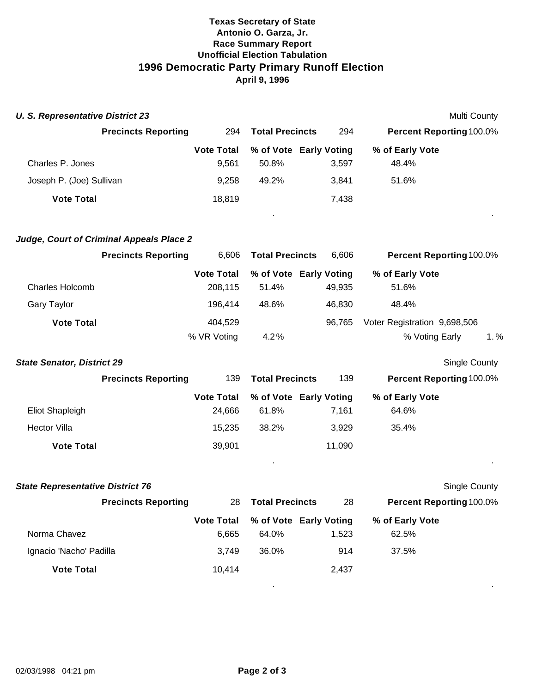# **Texas Secretary of State Antonio O. Garza, Jr. Race Summary Report Unofficial Election Tabulation 1996 Democratic Party Primary Runoff Election April 9, 1996**

| <b>U. S. Representative District 23</b> |                            |                   |                        |                        |                                 | Multi County |
|-----------------------------------------|----------------------------|-------------------|------------------------|------------------------|---------------------------------|--------------|
|                                         | <b>Precincts Reporting</b> | 294               | <b>Total Precincts</b> | 294                    | <b>Percent Reporting 100.0%</b> |              |
|                                         |                            | <b>Vote Total</b> |                        | % of Vote Early Voting | % of Early Vote                 |              |
| Charles P. Jones                        |                            | 9,561             | 50.8%                  | 3,597                  | 48.4%                           |              |
| Joseph P. (Joe) Sullivan                |                            | 9,258             | 49.2%                  | 3,841                  | 51.6%                           |              |
| <b>Vote Total</b>                       |                            | 18,819            |                        | 7,438                  |                                 |              |
|                                         |                            |                   | $\blacksquare$         |                        |                                 | . .          |
|                                         |                            |                   |                        |                        |                                 |              |

| Judge, Court of Criminal Appeals Place 2 |  |
|------------------------------------------|--|
|------------------------------------------|--|

|                        | <b>Precincts Reporting</b> | 6.606             | <b>Total Precincts</b> | 6.606  | <b>Percent Reporting 100.0%</b> |         |
|------------------------|----------------------------|-------------------|------------------------|--------|---------------------------------|---------|
|                        |                            | <b>Vote Total</b> | % of Vote Early Voting |        | % of Early Vote                 |         |
| <b>Charles Holcomb</b> |                            | 208.115           | 51.4%                  | 49.935 | 51.6%                           |         |
| <b>Gary Taylor</b>     |                            | 196.414           | 48.6%                  | 46.830 | 48.4%                           |         |
| <b>Vote Total</b>      |                            | 404,529           |                        | 96.765 | Voter Registration 9,698,506    |         |
|                        |                            | % VR Voting       | 4.2%                   |        | % Voting Early                  | $1. \%$ |

# **State Senator, District 29** Single County

|                     | <b>Precincts Reporting</b> | 139<br><b>Total Precincts</b> |       | 139                    | <b>Percent Reporting 100.0%</b> |  |
|---------------------|----------------------------|-------------------------------|-------|------------------------|---------------------------------|--|
|                     |                            | <b>Vote Total</b>             |       | % of Vote Early Voting | % of Early Vote                 |  |
| Eliot Shapleigh     |                            | 24.666                        | 61.8% | 7.161                  | 64.6%                           |  |
| <b>Hector Villa</b> |                            | 15.235                        | 38.2% | 3.929                  | 35.4%                           |  |
| <b>Vote Total</b>   |                            | 39,901                        |       | 11,090                 |                                 |  |

. .

| <b>State Representative District 76</b> |                   |                        |                        | <b>Single County</b>            |  |
|-----------------------------------------|-------------------|------------------------|------------------------|---------------------------------|--|
| <b>Precincts Reporting</b>              | 28                | <b>Total Precincts</b> | 28                     | <b>Percent Reporting 100.0%</b> |  |
|                                         | <b>Vote Total</b> |                        | % of Vote Early Voting | % of Early Vote                 |  |
| Norma Chavez                            | 6,665             | 64.0%                  | 1,523                  | 62.5%                           |  |
| Ignacio 'Nacho' Padilla                 | 3.749             | 36.0%                  | 914                    | 37.5%                           |  |
| <b>Vote Total</b>                       | 10,414            |                        | 2,437                  |                                 |  |
|                                         |                   |                        |                        |                                 |  |